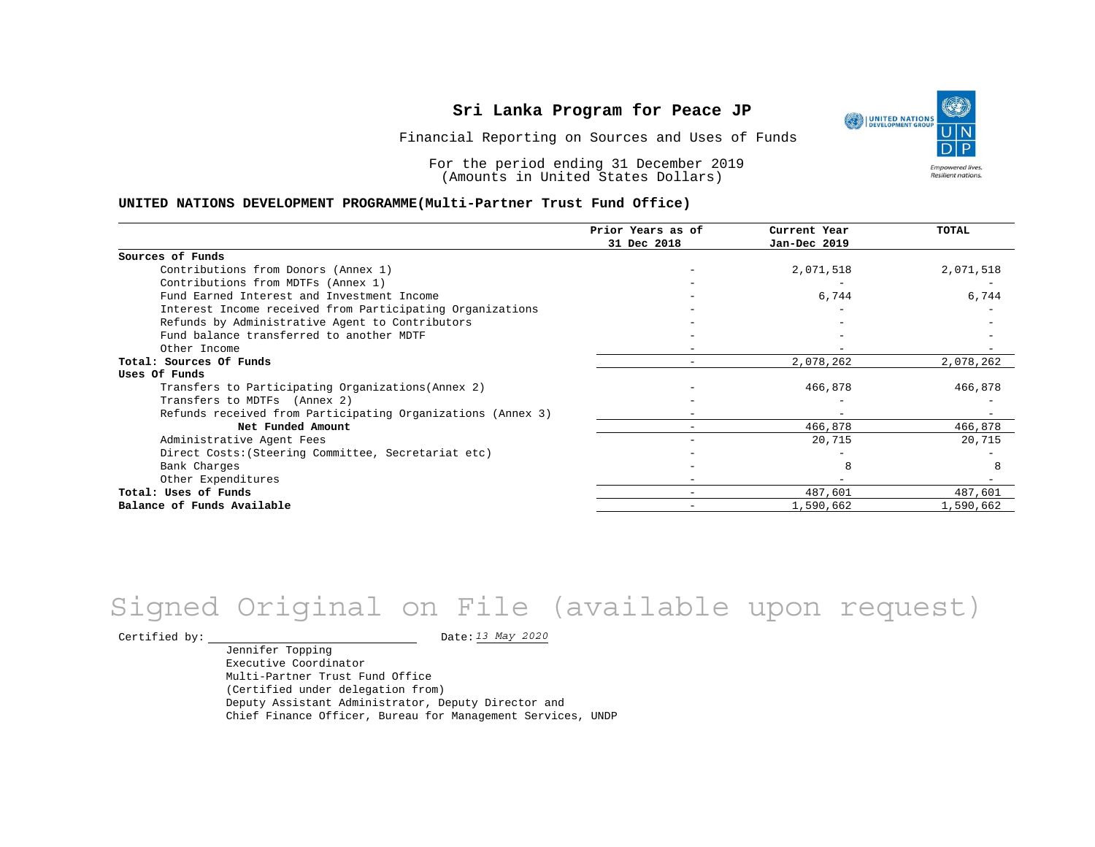

Financial Reporting on Sources and Uses of Funds

For the period ending 31 December 2019 (Amounts in United States Dollars)

#### **UNITED NATIONS DEVELOPMENT PROGRAMME(Multi-Partner Trust Fund Office)**

|                                                             | Prior Years as of<br>31 Dec 2018 | Current Year<br>Jan-Dec 2019 | TOTAL     |
|-------------------------------------------------------------|----------------------------------|------------------------------|-----------|
|                                                             |                                  |                              |           |
| Sources of Funds                                            |                                  |                              |           |
| Contributions from Donors (Annex 1)                         |                                  | 2,071,518                    | 2,071,518 |
| Contributions from MDTFs (Annex 1)                          |                                  |                              |           |
| Fund Earned Interest and Investment Income                  |                                  | 6,744                        | 6,744     |
| Interest Income received from Participating Organizations   |                                  |                              |           |
| Refunds by Administrative Agent to Contributors             |                                  |                              |           |
| Fund balance transferred to another MDTF                    |                                  |                              |           |
| Other Income                                                |                                  |                              |           |
| Total: Sources Of Funds                                     |                                  | 2,078,262                    | 2,078,262 |
| Uses Of Funds                                               |                                  |                              |           |
| Transfers to Participating Organizations (Annex 2)          |                                  | 466,878                      | 466,878   |
| Transfers to MDTFs (Annex 2)                                |                                  |                              |           |
| Refunds received from Participating Organizations (Annex 3) |                                  | $\qquad \qquad -$            |           |
| Net Funded Amount                                           |                                  | 466,878                      | 466,878   |
| Administrative Agent Fees                                   |                                  | 20,715                       | 20,715    |
| Direct Costs: (Steering Committee, Secretariat etc)         |                                  |                              |           |
| Bank Charges                                                |                                  |                              |           |
| Other Expenditures                                          |                                  |                              |           |
| Total: Uses of Funds                                        |                                  | 487,601                      | 487,601   |
| Balance of Funds Available                                  |                                  | 1,590,662                    | 1,590,662 |

# *13 May 2020* Signed Original on File (available upon request)

Certified by:  $\frac{13 May 2020}{1200}$ 

Jennifer Topping Executive Coordinator Multi-Partner Trust Fund Office (Certified under delegation from) Deputy Assistant Administrator, Deputy Director and Chief Finance Officer, Bureau for Management Services, UNDP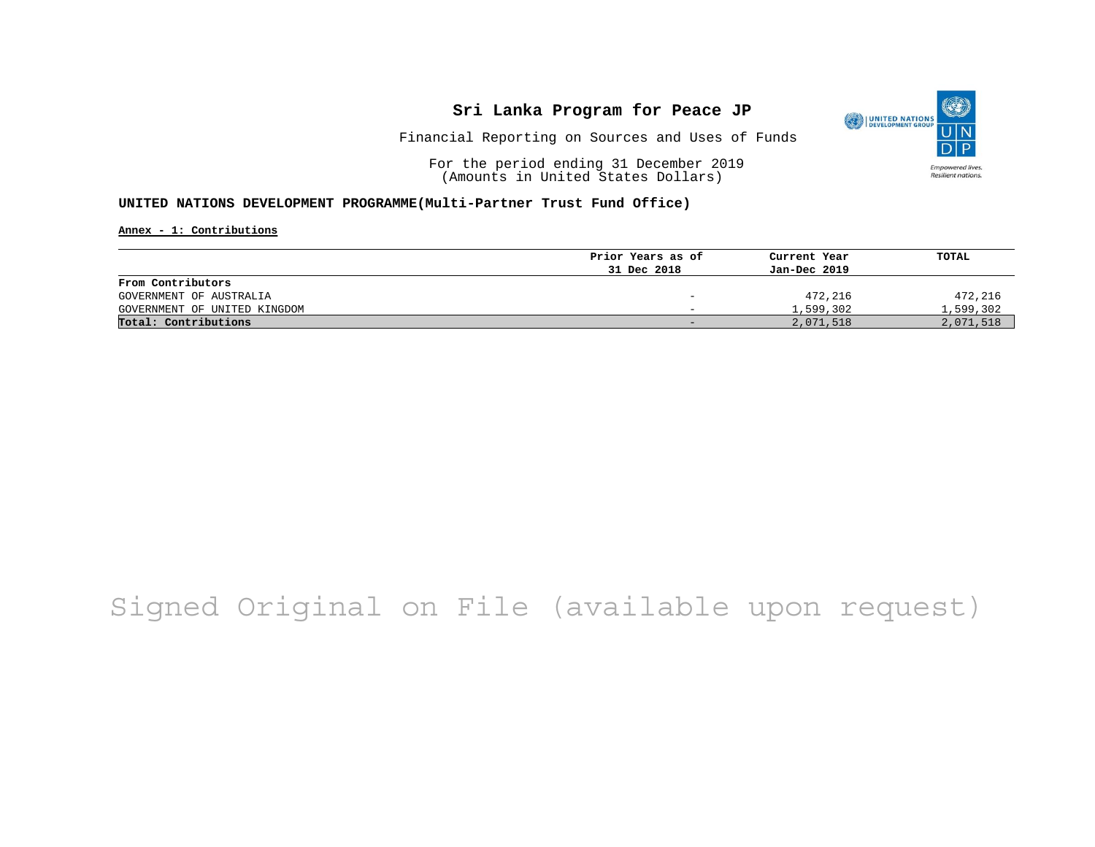

Financial Reporting on Sources and Uses of Funds

For the period ending 31 December 2019 (Amounts in United States Dollars)

#### **UNITED NATIONS DEVELOPMENT PROGRAMME(Multi-Partner Trust Fund Office)**

**Annex - 1: Contributions**

| Current Year                     | TOTAL     |
|----------------------------------|-----------|
| Jan-Dec 2019                     |           |
|                                  |           |
| 472,216                          | 472,216   |
| 1,599,302                        | 1,599,302 |
| 2,071,518                        | 2,071,518 |
| Prior Years as of<br>31 Dec 2018 |           |

# Signed Original on File (available upon request)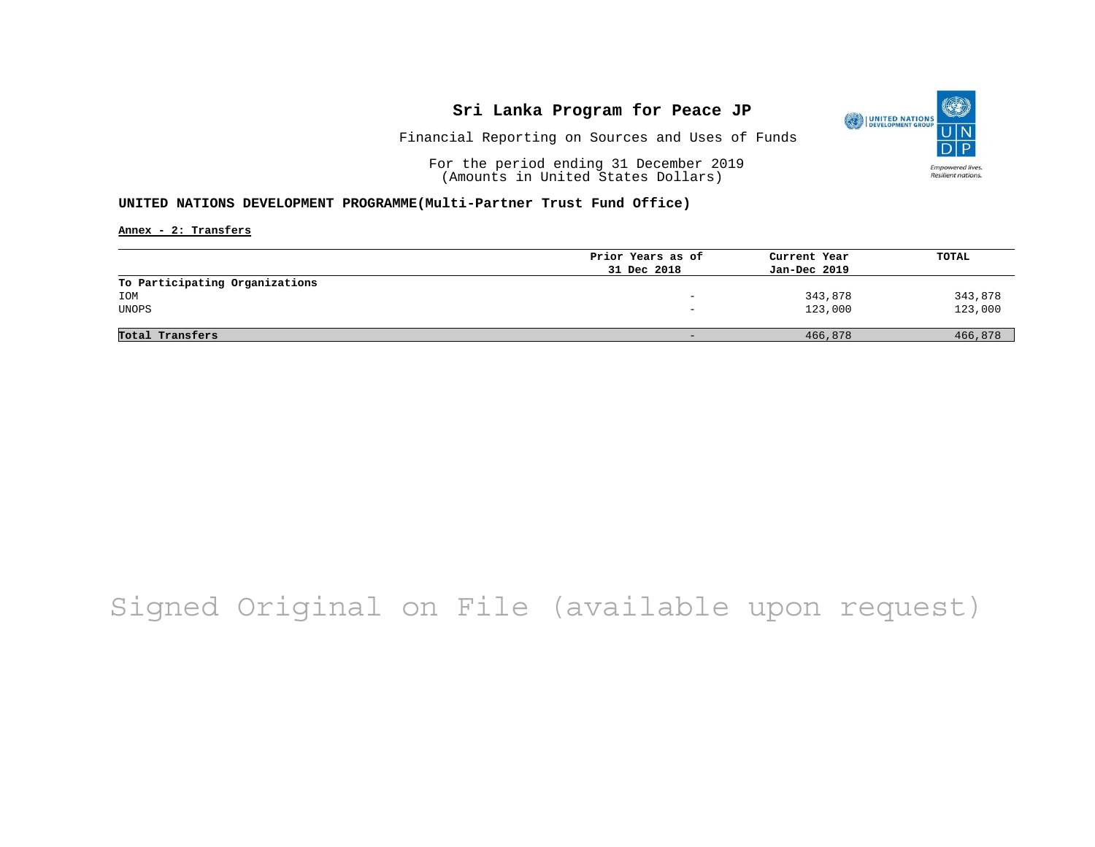

Financial Reporting on Sources and Uses of Funds

For the period ending 31 December 2019 (Amounts in United States Dollars)

#### **UNITED NATIONS DEVELOPMENT PROGRAMME(Multi-Partner Trust Fund Office)**

**Annex - 2: Transfers**

|                                | Prior Years as of | Current Year | TOTAL   |
|--------------------------------|-------------------|--------------|---------|
|                                | 31 Dec 2018       | Jan-Dec 2019 |         |
| To Participating Organizations |                   |              |         |
| IOM                            |                   | 343,878      | 343,878 |
| UNOPS                          |                   | 123,000      | 123,000 |
|                                |                   |              |         |
| Total Transfers                |                   | 466,878      | 466,878 |

# Signed Original on File (available upon request)